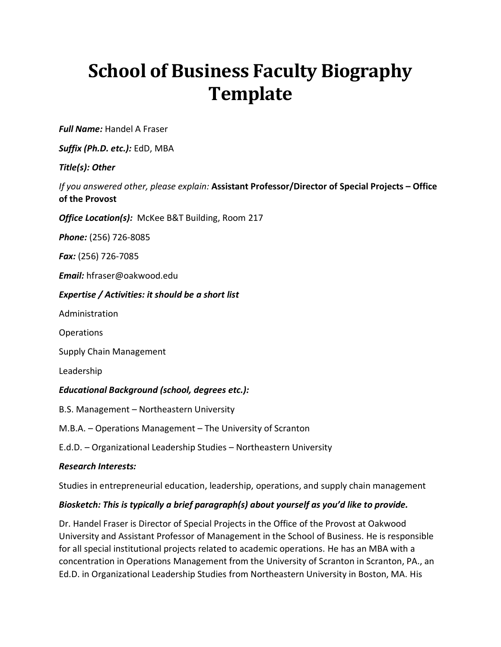# **School of Business Faculty Biography Template**

*Full Name:* Handel A Fraser

*Suffix (Ph.D. etc.):* EdD, MBA

## *Title(s): Other*

*If you answered other, please explain:* **Assistant Professor/Director of Special Projects – Office of the Provost**

*Office Location(s):* McKee B&T Building, Room 217

*Phone:* (256) 726-8085

*Fax:* (256) 726-7085

*Email:* hfraser@oakwood.edu

*Expertise / Activities: it should be a short list* 

Administration

**Operations** 

Supply Chain Management

Leadership

### *Educational Background (school, degrees etc.):*

B.S. Management – Northeastern University

M.B.A. – Operations Management – The University of Scranton

E.d.D. – Organizational Leadership Studies – Northeastern University

### *Research Interests:*

Studies in entrepreneurial education, leadership, operations, and supply chain management

### *Biosketch: This is typically a brief paragraph(s) about yourself as you'd like to provide.*

Dr. Handel Fraser is Director of Special Projects in the Office of the Provost at Oakwood University and Assistant Professor of Management in the School of Business. He is responsible for all special institutional projects related to academic operations. He has an MBA with a concentration in Operations Management from the University of Scranton in Scranton, PA., an Ed.D. in Organizational Leadership Studies from Northeastern University in Boston, MA. His